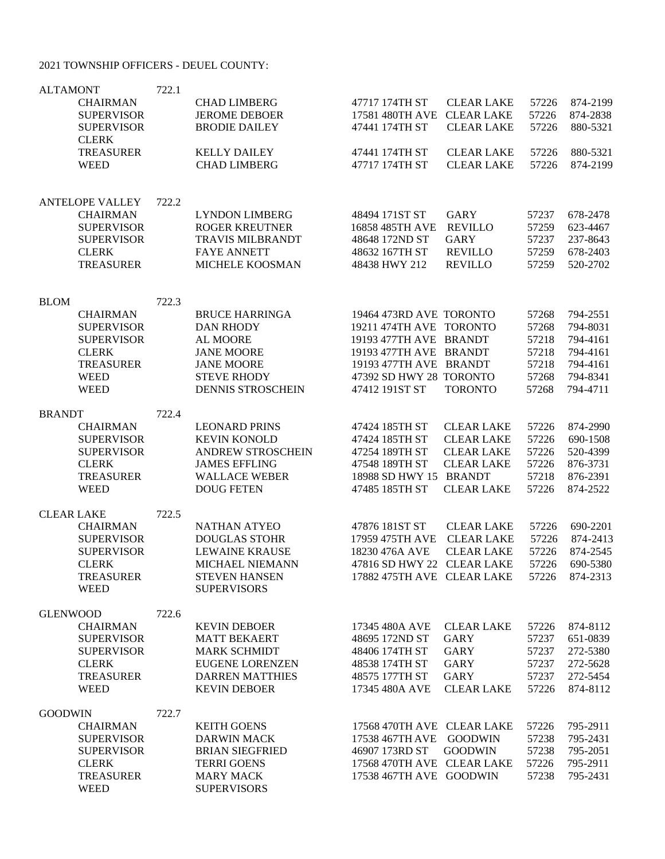## 2021 TOWNSHIP OFFICERS - DEUEL COUNTY:

| <b>ALTAMONT</b><br><b>CHAIRMAN</b><br><b>SUPERVISOR</b><br><b>SUPERVISOR</b><br><b>CLERK</b><br><b>TREASURER</b><br><b>WEED</b>            | 722.1 | <b>CHAD LIMBERG</b><br><b>JEROME DEBOER</b><br><b>BRODIE DAILEY</b><br><b>KELLY DAILEY</b><br><b>CHAD LIMBERG</b>                                 | 47717 174TH ST<br>17581 480TH AVE<br>47441 174TH ST<br>47441 174TH ST<br>47717 174TH ST                                                                                       | <b>CLEAR LAKE</b><br><b>CLEAR LAKE</b><br><b>CLEAR LAKE</b><br><b>CLEAR LAKE</b><br><b>CLEAR LAKE</b>                  | 57226<br>57226<br>57226<br>57226<br>57226                   | 874-2199<br>874-2838<br>880-5321<br>880-5321<br>874-2199                         |
|--------------------------------------------------------------------------------------------------------------------------------------------|-------|---------------------------------------------------------------------------------------------------------------------------------------------------|-------------------------------------------------------------------------------------------------------------------------------------------------------------------------------|------------------------------------------------------------------------------------------------------------------------|-------------------------------------------------------------|----------------------------------------------------------------------------------|
| <b>ANTELOPE VALLEY</b><br><b>CHAIRMAN</b><br><b>SUPERVISOR</b><br><b>SUPERVISOR</b><br><b>CLERK</b><br><b>TREASURER</b>                    | 722.2 | <b>LYNDON LIMBERG</b><br><b>ROGER KREUTNER</b><br><b>TRAVIS MILBRANDT</b><br><b>FAYE ANNETT</b><br>MICHELE KOOSMAN                                | 48494 171ST ST<br>16858 485TH AVE<br>48648 172ND ST<br>48632 167TH ST<br>48438 HWY 212                                                                                        | <b>GARY</b><br><b>REVILLO</b><br><b>GARY</b><br><b>REVILLO</b><br><b>REVILLO</b>                                       | 57237<br>57259<br>57237<br>57259<br>57259                   | 678-2478<br>623-4467<br>237-8643<br>678-2403<br>520-2702                         |
| <b>BLOM</b><br><b>CHAIRMAN</b><br><b>SUPERVISOR</b><br><b>SUPERVISOR</b><br><b>CLERK</b><br><b>TREASURER</b><br><b>WEED</b><br><b>WEED</b> | 722.3 | <b>BRUCE HARRINGA</b><br><b>DAN RHODY</b><br>AL MOORE<br><b>JANE MOORE</b><br><b>JANE MOORE</b><br><b>STEVE RHODY</b><br><b>DENNIS STROSCHEIN</b> | 19464 473RD AVE TORONTO<br>19211 474TH AVE TORONTO<br>19193 477TH AVE BRANDT<br>19193 477TH AVE BRANDT<br>19193 477TH AVE BRANDT<br>47392 SD HWY 28 TORONTO<br>47412 191ST ST | <b>TORONTO</b>                                                                                                         | 57268<br>57268<br>57218<br>57218<br>57218<br>57268<br>57268 | 794-2551<br>794-8031<br>794-4161<br>794-4161<br>794-4161<br>794-8341<br>794-4711 |
| <b>BRANDT</b><br><b>CHAIRMAN</b><br><b>SUPERVISOR</b><br><b>SUPERVISOR</b><br><b>CLERK</b><br><b>TREASURER</b><br><b>WEED</b>              | 722.4 | <b>LEONARD PRINS</b><br><b>KEVIN KONOLD</b><br><b>ANDREW STROSCHEIN</b><br><b>JAMES EFFLING</b><br><b>WALLACE WEBER</b><br><b>DOUG FETEN</b>      | 47424 185TH ST<br>47424 185TH ST<br>47254 189TH ST<br>47548 189TH ST<br>18988 SD HWY 15<br>47485 185TH ST                                                                     | <b>CLEAR LAKE</b><br><b>CLEAR LAKE</b><br><b>CLEAR LAKE</b><br><b>CLEAR LAKE</b><br><b>BRANDT</b><br><b>CLEAR LAKE</b> | 57226<br>57226<br>57226<br>57226<br>57218<br>57226          | 874-2990<br>690-1508<br>520-4399<br>876-3731<br>876-2391<br>874-2522             |
| <b>CLEAR LAKE</b><br><b>CHAIRMAN</b><br><b>SUPERVISOR</b><br><b>SUPERVISOR</b><br><b>CLERK</b><br><b>TREASURER</b><br><b>WEED</b>          | 722.5 | NATHAN ATYEO<br><b>DOUGLAS STOHR</b><br><b>LEWAINE KRAUSE</b><br>MICHAEL NIEMANN<br><b>STEVEN HANSEN</b><br><b>SUPERVISORS</b>                    | 47876 181ST ST<br>17959 475TH AVE<br>18230 476A AVE<br>47816 SD HWY 22 CLEAR LAKE<br>17882 475TH AVE CLEAR LAKE                                                               | <b>CLEAR LAKE</b><br><b>CLEAR LAKE</b><br><b>CLEAR LAKE</b>                                                            | 57226<br>57226<br>57226<br>57226<br>57226                   | 690-2201<br>874-2413<br>874-2545<br>690-5380<br>874-2313                         |
| <b>GLENWOOD</b><br><b>CHAIRMAN</b><br><b>SUPERVISOR</b><br><b>SUPERVISOR</b><br><b>CLERK</b><br><b>TREASURER</b><br><b>WEED</b>            | 722.6 | <b>KEVIN DEBOER</b><br><b>MATT BEKAERT</b><br><b>MARK SCHMIDT</b><br><b>EUGENE LORENZEN</b><br><b>DARREN MATTHIES</b><br><b>KEVIN DEBOER</b>      | 17345 480A AVE<br>48695 172ND ST<br>48406 174TH ST<br>48538 174TH ST<br>48575 177TH ST<br>17345 480A AVE                                                                      | <b>CLEAR LAKE</b><br>GARY<br><b>GARY</b><br><b>GARY</b><br>GARY<br><b>CLEAR LAKE</b>                                   | 57226<br>57237<br>57237<br>57237<br>57237<br>57226          | 874-8112<br>651-0839<br>272-5380<br>272-5628<br>272-5454<br>874-8112             |
| <b>GOODWIN</b><br><b>CHAIRMAN</b><br><b>SUPERVISOR</b><br><b>SUPERVISOR</b><br><b>CLERK</b><br><b>TREASURER</b><br><b>WEED</b>             | 722.7 | <b>KEITH GOENS</b><br><b>DARWIN MACK</b><br><b>BRIAN SIEGFRIED</b><br><b>TERRI GOENS</b><br><b>MARY MACK</b><br><b>SUPERVISORS</b>                | 17568 470TH AVE CLEAR LAKE<br>17538 467TH AVE<br>46907 173RD ST<br>17568 470TH AVE CLEAR LAKE<br>17538 467TH AVE GOODWIN                                                      | <b>GOODWIN</b><br><b>GOODWIN</b>                                                                                       | 57226<br>57238<br>57238<br>57226<br>57238                   | 795-2911<br>795-2431<br>795-2051<br>795-2911<br>795-2431                         |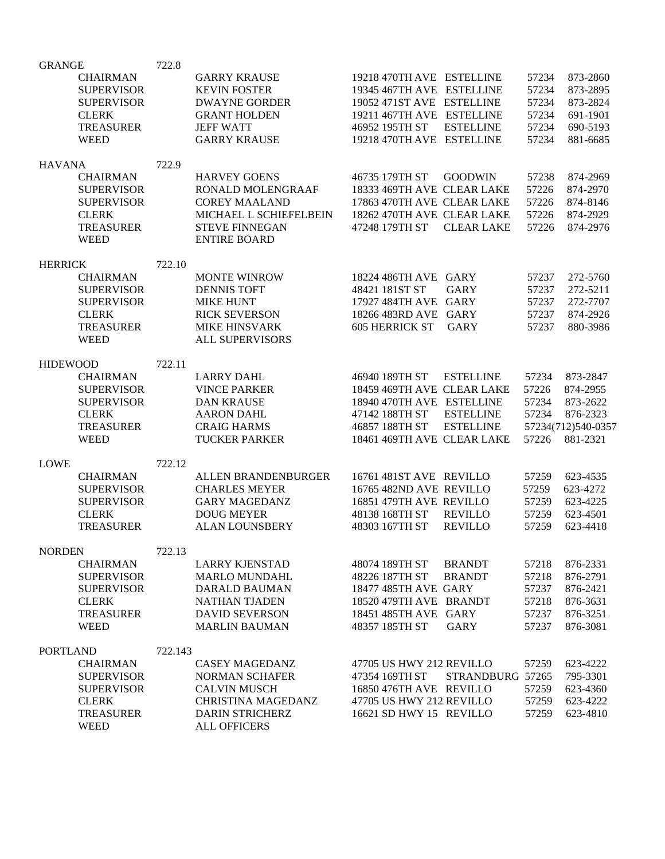| <b>GRANGE</b>   |                   | 722.8   |                           |                            |                   |       |                    |
|-----------------|-------------------|---------|---------------------------|----------------------------|-------------------|-------|--------------------|
|                 | <b>CHAIRMAN</b>   |         | <b>GARRY KRAUSE</b>       | 19218 470TH AVE ESTELLINE  |                   | 57234 | 873-2860           |
|                 | <b>SUPERVISOR</b> |         | <b>KEVIN FOSTER</b>       | 19345 467TH AVE ESTELLINE  |                   | 57234 | 873-2895           |
|                 | <b>SUPERVISOR</b> |         | <b>DWAYNE GORDER</b>      | 19052 471ST AVE ESTELLINE  |                   | 57234 | 873-2824           |
|                 | <b>CLERK</b>      |         | <b>GRANT HOLDEN</b>       | 19211 467TH AVE ESTELLINE  |                   | 57234 | 691-1901           |
|                 | <b>TREASURER</b>  |         | <b>JEFF WATT</b>          | 46952 195TH ST             | <b>ESTELLINE</b>  | 57234 | 690-5193           |
|                 |                   |         |                           |                            |                   |       |                    |
|                 | <b>WEED</b>       |         | <b>GARRY KRAUSE</b>       | 19218 470TH AVE ESTELLINE  |                   | 57234 | 881-6685           |
| <b>HAVANA</b>   |                   | 722.9   |                           |                            |                   |       |                    |
|                 | <b>CHAIRMAN</b>   |         | <b>HARVEY GOENS</b>       | 46735 179TH ST             | <b>GOODWIN</b>    | 57238 | 874-2969           |
|                 | <b>SUPERVISOR</b> |         | RONALD MOLENGRAAF         | 18333 469TH AVE CLEAR LAKE |                   | 57226 | 874-2970           |
|                 | <b>SUPERVISOR</b> |         | <b>COREY MAALAND</b>      | 17863 470TH AVE CLEAR LAKE |                   | 57226 | 874-8146           |
|                 |                   |         |                           |                            |                   |       |                    |
|                 | <b>CLERK</b>      |         | MICHAEL L SCHIEFELBEIN    | 18262 470TH AVE CLEAR LAKE |                   | 57226 | 874-2929           |
|                 | <b>TREASURER</b>  |         | <b>STEVE FINNEGAN</b>     | 47248 179TH ST             | <b>CLEAR LAKE</b> | 57226 | 874-2976           |
|                 | <b>WEED</b>       |         | <b>ENTIRE BOARD</b>       |                            |                   |       |                    |
|                 |                   | 722.10  |                           |                            |                   |       |                    |
| <b>HERRICK</b>  | <b>CHAIRMAN</b>   |         | <b>MONTE WINROW</b>       | 18224 486TH AVE GARY       |                   | 57237 | 272-5760           |
|                 |                   |         |                           | 48421 181ST ST             |                   |       |                    |
|                 | <b>SUPERVISOR</b> |         | <b>DENNIS TOFT</b>        |                            | <b>GARY</b>       | 57237 | 272-5211           |
|                 | <b>SUPERVISOR</b> |         | <b>MIKE HUNT</b>          | 17927 484TH AVE GARY       |                   | 57237 | 272-7707           |
|                 | <b>CLERK</b>      |         | <b>RICK SEVERSON</b>      | 18266 483RD AVE GARY       |                   | 57237 | 874-2926           |
|                 | <b>TREASURER</b>  |         | <b>MIKE HINSVARK</b>      | <b>605 HERRICK ST</b>      | <b>GARY</b>       | 57237 | 880-3986           |
|                 | <b>WEED</b>       |         | <b>ALL SUPERVISORS</b>    |                            |                   |       |                    |
|                 |                   |         |                           |                            |                   |       |                    |
| <b>HIDEWOOD</b> |                   | 722.11  |                           |                            |                   |       |                    |
|                 | <b>CHAIRMAN</b>   |         | <b>LARRY DAHL</b>         | 46940 189TH ST             | <b>ESTELLINE</b>  | 57234 | 873-2847           |
|                 | <b>SUPERVISOR</b> |         | <b>VINCE PARKER</b>       | 18459 469TH AVE CLEAR LAKE |                   | 57226 | 874-2955           |
|                 | <b>SUPERVISOR</b> |         | <b>DAN KRAUSE</b>         | 18940 470TH AVE ESTELLINE  |                   | 57234 | 873-2622           |
|                 | <b>CLERK</b>      |         | <b>AARON DAHL</b>         | 47142 188TH ST             | <b>ESTELLINE</b>  | 57234 | 876-2323           |
|                 | <b>TREASURER</b>  |         | <b>CRAIG HARMS</b>        | 46857 188TH ST             | <b>ESTELLINE</b>  |       | 57234(712)540-0357 |
|                 | <b>WEED</b>       |         | <b>TUCKER PARKER</b>      | 18461 469TH AVE CLEAR LAKE |                   | 57226 | 881-2321           |
|                 |                   |         |                           |                            |                   |       |                    |
| <b>LOWE</b>     |                   | 722.12  |                           | 16761 481ST AVE REVILLO    |                   |       |                    |
|                 | <b>CHAIRMAN</b>   |         | ALLEN BRANDENBURGER       |                            |                   | 57259 | 623-4535           |
|                 | <b>SUPERVISOR</b> |         | <b>CHARLES MEYER</b>      | 16765 482ND AVE REVILLO    |                   | 57259 | 623-4272           |
|                 | <b>SUPERVISOR</b> |         | <b>GARY MAGEDANZ</b>      | 16851 479TH AVE REVILLO    |                   | 57259 | 623-4225           |
|                 | <b>CLERK</b>      |         | <b>DOUG MEYER</b>         | 48138 168TH ST             | <b>REVILLO</b>    | 57259 | 623-4501           |
|                 | <b>TREASURER</b>  |         | <b>ALAN LOUNSBERY</b>     | 48303 167TH ST             | <b>REVILLO</b>    | 57259 | 623-4418           |
| <b>NORDEN</b>   |                   |         |                           |                            |                   |       |                    |
|                 | <b>CHAIRMAN</b>   | 722.13  | <b>LARRY KJENSTAD</b>     | 48074 189TH ST             | <b>BRANDT</b>     | 57218 | 876-2331           |
|                 |                   |         |                           |                            |                   |       |                    |
|                 | <b>SUPERVISOR</b> |         | <b>MARLO MUNDAHL</b>      | 48226 187TH ST             | <b>BRANDT</b>     | 57218 | 876-2791           |
|                 | <b>SUPERVISOR</b> |         | DARALD BAUMAN             | 18477 485TH AVE GARY       |                   | 57237 | 876-2421           |
|                 | <b>CLERK</b>      |         | <b>NATHAN TJADEN</b>      | 18520 479TH AVE BRANDT     |                   | 57218 | 876-3631           |
|                 | <b>TREASURER</b>  |         | <b>DAVID SEVERSON</b>     | 18451 485TH AVE GARY       |                   | 57237 | 876-3251           |
|                 | <b>WEED</b>       |         | <b>MARLIN BAUMAN</b>      | 48357 185TH ST             | <b>GARY</b>       | 57237 | 876-3081           |
| <b>PORTLAND</b> |                   |         |                           |                            |                   |       |                    |
|                 | <b>CHAIRMAN</b>   | 722.143 | <b>CASEY MAGEDANZ</b>     | 47705 US HWY 212 REVILLO   |                   | 57259 | 623-4222           |
|                 |                   |         |                           |                            |                   |       |                    |
|                 | <b>SUPERVISOR</b> |         | <b>NORMAN SCHAFER</b>     | 47354 169TH ST             | STRANDBURG 57265  |       | 795-3301           |
|                 | <b>SUPERVISOR</b> |         | <b>CALVIN MUSCH</b>       | 16850 476TH AVE REVILLO    |                   | 57259 | 623-4360           |
|                 | <b>CLERK</b>      |         | <b>CHRISTINA MAGEDANZ</b> | 47705 US HWY 212 REVILLO   |                   | 57259 | 623-4222           |
|                 | <b>TREASURER</b>  |         | <b>DARIN STRICHERZ</b>    | 16621 SD HWY 15 REVILLO    |                   | 57259 | 623-4810           |
|                 | <b>WEED</b>       |         | <b>ALL OFFICERS</b>       |                            |                   |       |                    |